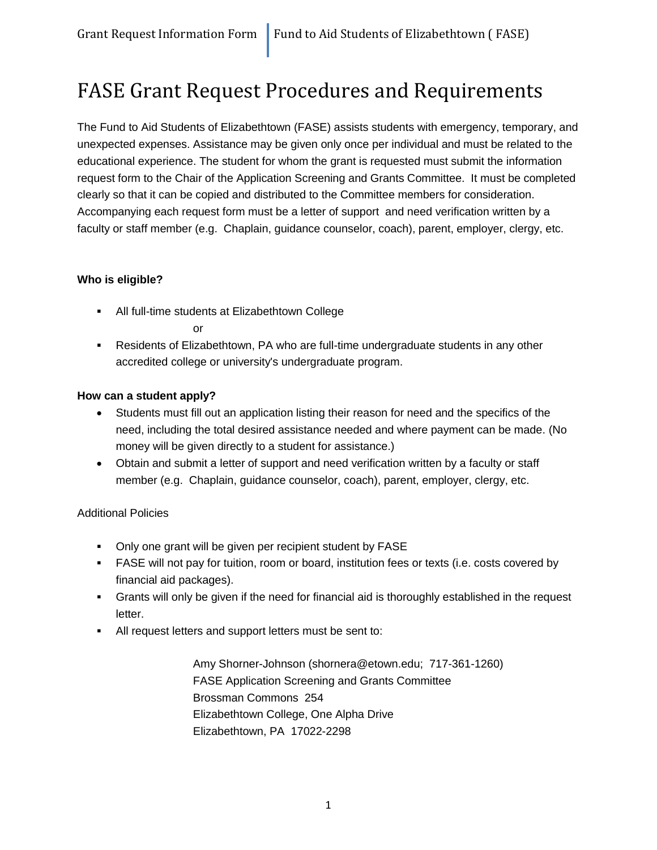## FASE Grant Request Procedures and Requirements

The Fund to Aid Students of Elizabethtown (FASE) assists students with emergency, temporary, and unexpected expenses. Assistance may be given only once per individual and must be related to the educational experience. The student for whom the grant is requested must submit the information request form to the Chair of the Application Screening and Grants Committee. It must be completed clearly so that it can be copied and distributed to the Committee members for consideration. Accompanying each request form must be a letter of support and need verification written by a faculty or staff member (e.g. Chaplain, guidance counselor, coach), parent, employer, clergy, etc.

### **Who is eligible?**

All full-time students at Elizabethtown College

or

 Residents of Elizabethtown, PA who are full-time undergraduate students in any other accredited college or university's undergraduate program.

### **How can a student apply?**

- Students must fill out an application listing their reason for need and the specifics of the need, including the total desired assistance needed and where payment can be made. (No money will be given directly to a student for assistance.)
- Obtain and submit a letter of support and need verification written by a faculty or staff member (e.g. Chaplain, guidance counselor, coach), parent, employer, clergy, etc.

### Additional Policies

- Only one grant will be given per recipient student by FASE
- FASE will not pay for tuition, room or board, institution fees or texts (i.e. costs covered by financial aid packages).
- Grants will only be given if the need for financial aid is thoroughly established in the request letter.
- All request letters and support letters must be sent to:

Amy Shorner-Johnson (shornera@etown.edu; 717-361-1260) FASE Application Screening and Grants Committee Brossman Commons 254 Elizabethtown College, One Alpha Drive Elizabethtown, PA 17022-2298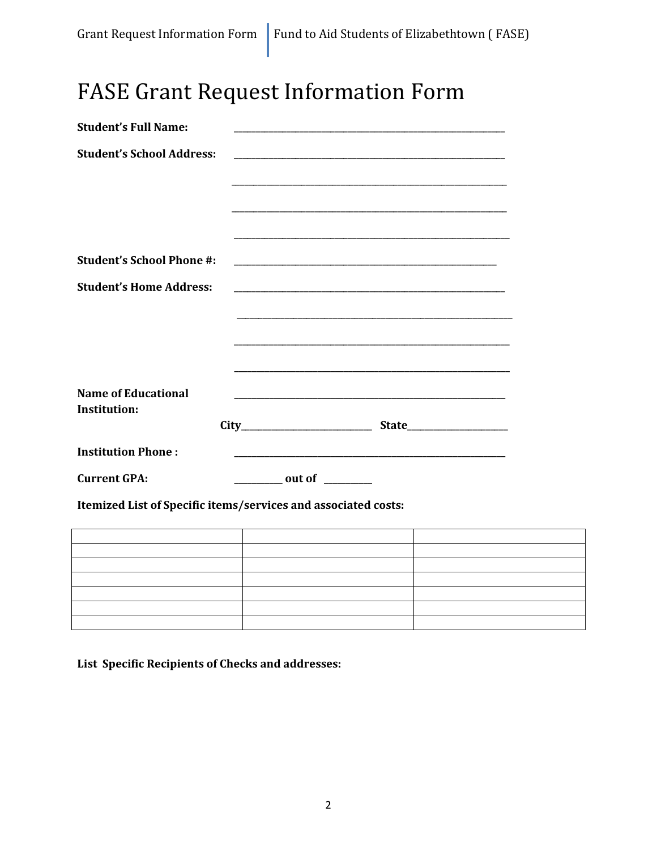# **FASE Grant Request Information Form**

| <b>Student's Full Name:</b>                |                                                |                                                                                                                      |
|--------------------------------------------|------------------------------------------------|----------------------------------------------------------------------------------------------------------------------|
| <b>Student's School Address:</b>           |                                                |                                                                                                                      |
|                                            |                                                |                                                                                                                      |
|                                            |                                                |                                                                                                                      |
|                                            |                                                |                                                                                                                      |
| <b>Student's School Phone #:</b>           |                                                |                                                                                                                      |
|                                            |                                                |                                                                                                                      |
| <b>Student's Home Address:</b>             |                                                |                                                                                                                      |
|                                            |                                                |                                                                                                                      |
|                                            |                                                | <u> 1989 - Andrea Santa Andrea Andrea Andrea Andrea Andrea Andrea Andrea Andrea Andrea Andrea Andrea Andrea Andr</u> |
|                                            |                                                |                                                                                                                      |
|                                            |                                                |                                                                                                                      |
| <b>Name of Educational</b><br>Institution: |                                                |                                                                                                                      |
|                                            |                                                |                                                                                                                      |
| <b>Institution Phone:</b>                  |                                                |                                                                                                                      |
| <b>Current GPA:</b>                        | $\frac{1}{\sqrt{1-\frac{1}{2}}}\text{out of }$ |                                                                                                                      |

Itemized List of Specific items/services and associated costs:

List Specific Recipients of Checks and addresses: